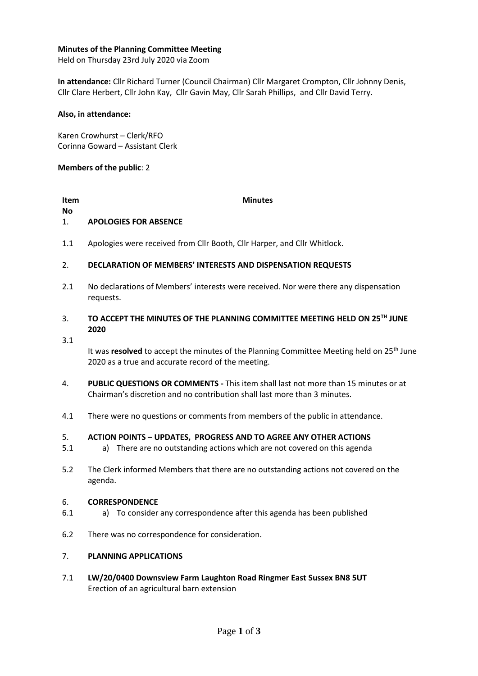# **Minutes of the Planning Committee Meeting**

Held on Thursday 23rd July 2020 via Zoom

**In attendance:** Cllr Richard Turner (Council Chairman) Cllr Margaret Crompton, Cllr Johnny Denis, Cllr Clare Herbert, Cllr John Kay, Cllr Gavin May, Cllr Sarah Phillips, and Cllr David Terry.

## **Also, in attendance:**

Karen Crowhurst – Clerk/RFO Corinna Goward – Assistant Clerk

## **Members of the public**: 2

### **Item No**

## **Minutes**

#### 1. **APOLOGIES FOR ABSENCE**

1.1 Apologies were received from Cllr Booth, Cllr Harper, and Cllr Whitlock.

#### 2. **DECLARATION OF MEMBERS' INTERESTS AND DISPENSATION REQUESTS**

2.1 No declarations of Members' interests were received. Nor were there any dispensation requests.

### 3. **TO ACCEPT THE MINUTES OF THE PLANNING COMMITTEE MEETING HELD ON 25TH JUNE 2020**

3.1

It was **resolved** to accept the minutes of the Planning Committee Meeting held on 25<sup>th</sup> June 2020 as a true and accurate record of the meeting.

- 4. **PUBLIC QUESTIONS OR COMMENTS -** This item shall last not more than 15 minutes or at Chairman's discretion and no contribution shall last more than 3 minutes.
- 4.1 There were no questions or comments from members of the public in attendance.

#### 5. **ACTION POINTS – UPDATES, PROGRESS AND TO AGREE ANY OTHER ACTIONS**

- 5.1 a) There are no outstanding actions which are not covered on this agenda
- 5.2 The Clerk informed Members that there are no outstanding actions not covered on the agenda.

#### 6. **CORRESPONDENCE**

- 6.1 a) To consider any correspondence after this agenda has been published
- 6.2 There was no correspondence for consideration.

#### 7. **PLANNING APPLICATIONS**

7.1 **LW/20/0400 Downsview Farm Laughton Road Ringmer East Sussex BN8 5UT** Erection of an agricultural barn extension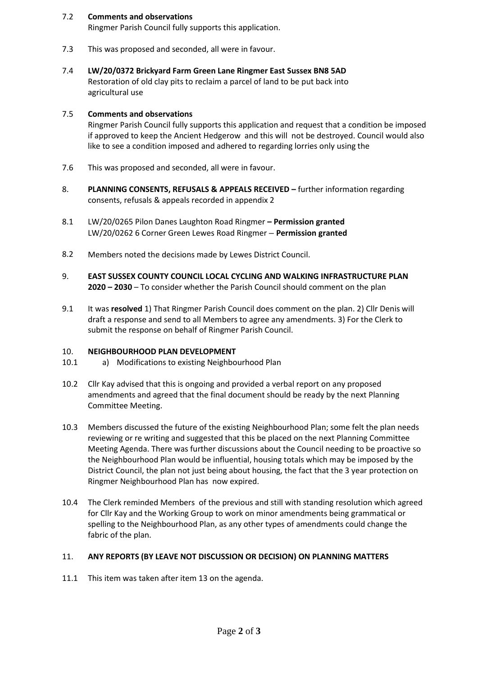#### 7.2 **Comments and observations**

Ringmer Parish Council fully supports this application.

- 7.3 This was proposed and seconded, all were in favour.
- 7.4 **LW/20/0372 Brickyard Farm Green Lane Ringmer East Sussex BN8 5AD** Restoration of old clay pits to reclaim a parcel of land to be put back into agricultural use

#### 7.5 **Comments and observations**

Ringmer Parish Council fully supports this application and request that a condition be imposed if approved to keep the Ancient Hedgerow and this will not be destroyed. Council would also like to see a condition imposed and adhered to regarding lorries only using the

- 7.6 This was proposed and seconded, all were in favour.
- 8. **PLANNING CONSENTS, REFUSALS & APPEALS RECEIVED –** further information regarding consents, refusals & appeals recorded in appendix 2
- 8.1 LW/20/0265 Pilon Danes Laughton Road Ringmer **– Permission granted** LW/20/0262 6 Corner Green Lewes Road Ringmer **– Permission granted**
- 8.2 Members noted the decisions made by Lewes District Council.
- 9. **EAST SUSSEX COUNTY COUNCIL LOCAL CYCLING AND WALKING INFRASTRUCTURE PLAN 2020 – 2030** – To consider whether the Parish Council should comment on the plan
- 9.1 It was **resolved** 1) That Ringmer Parish Council does comment on the plan. 2) Cllr Denis will draft a response and send to all Members to agree any amendments. 3) For the Clerk to submit the response on behalf of Ringmer Parish Council.

#### 10. **NEIGHBOURHOOD PLAN DEVELOPMENT**

- 10.1 a) Modifications to existing Neighbourhood Plan
- 10.2 Cllr Kay advised that this is ongoing and provided a verbal report on any proposed amendments and agreed that the final document should be ready by the next Planning Committee Meeting.
- 10.3 Members discussed the future of the existing Neighbourhood Plan; some felt the plan needs reviewing or re writing and suggested that this be placed on the next Planning Committee Meeting Agenda. There was further discussions about the Council needing to be proactive so the Neighbourhood Plan would be influential, housing totals which may be imposed by the District Council, the plan not just being about housing, the fact that the 3 year protection on Ringmer Neighbourhood Plan has now expired.
- 10.4 The Clerk reminded Members of the previous and still with standing resolution which agreed for Cllr Kay and the Working Group to work on minor amendments being grammatical or spelling to the Neighbourhood Plan, as any other types of amendments could change the fabric of the plan.

#### 11. **ANY REPORTS (BY LEAVE NOT DISCUSSION OR DECISION) ON PLANNING MATTERS**

11.1 This item was taken after item 13 on the agenda.